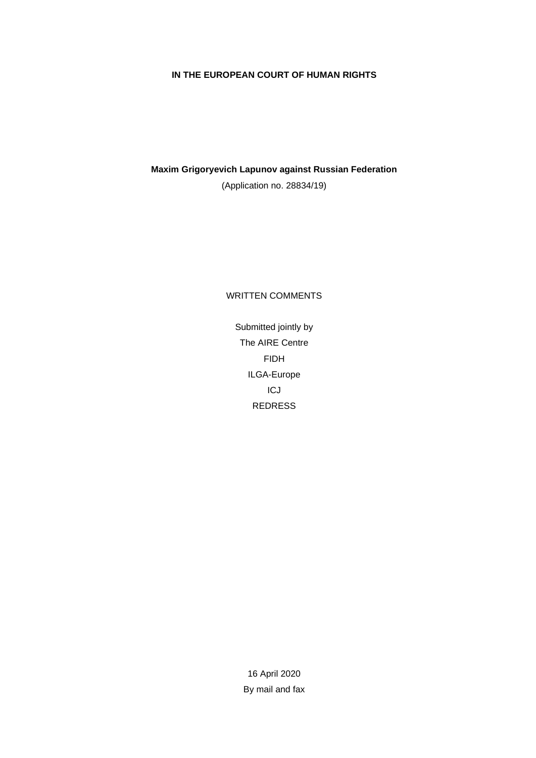# **IN THE EUROPEAN COURT OF HUMAN RIGHTS**

**Maxim Grigoryevich Lapunov against Russian Federation**

(Application no. 28834/19)

# WRITTEN COMMENTS

Submitted jointly by The AIRE Centre FIDH ILGA-Europe ICJ REDRESS

> 16 April 2020 By mail and fax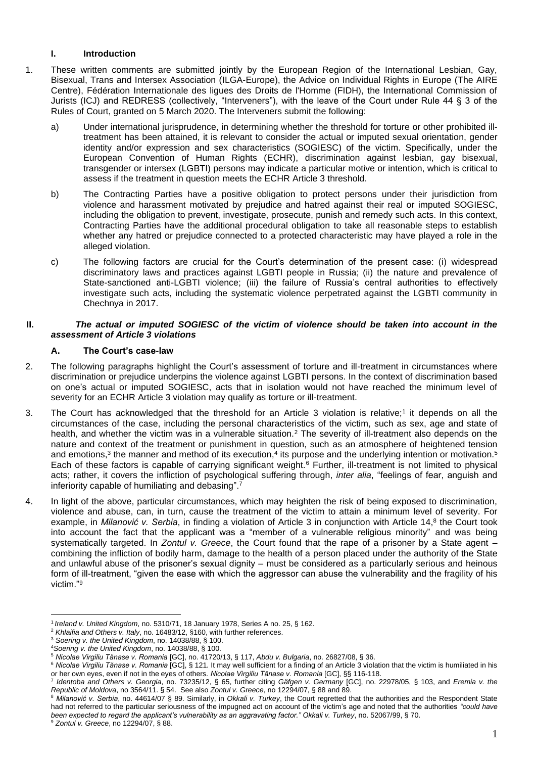# **I. Introduction**

- 1. These written comments are submitted jointly by the European Region of the International Lesbian, Gay, Bisexual, Trans and Intersex Association (ILGA-Europe), the Advice on Individual Rights in Europe (The AIRE Centre), Fédération Internationale des ligues des Droits de l'Homme (FIDH), the International Commission of Jurists (ICJ) and REDRESS (collectively, "Interveners"), with the leave of the Court under Rule 44 § 3 of the Rules of Court, granted on 5 March 2020. The Interveners submit the following:
	- a) Under international jurisprudence, in determining whether the threshold for torture or other prohibited illtreatment has been attained, it is relevant to consider the actual or imputed sexual orientation, gender identity and/or expression and sex characteristics (SOGIESC) of the victim. Specifically, under the European Convention of Human Rights (ECHR), discrimination against lesbian, gay bisexual, transgender or intersex (LGBTI) persons may indicate a particular motive or intention, which is critical to assess if the treatment in question meets the ECHR Article 3 threshold.
	- b) The Contracting Parties have a positive obligation to protect persons under their jurisdiction from violence and harassment motivated by prejudice and hatred against their real or imputed SOGIESC, including the obligation to prevent, investigate, prosecute, punish and remedy such acts. In this context, Contracting Parties have the additional procedural obligation to take all reasonable steps to establish whether any hatred or prejudice connected to a protected characteristic may have played a role in the alleged violation.
	- c) The following factors are crucial for the Court's determination of the present case: (i) widespread discriminatory laws and practices against LGBTI people in Russia; (ii) the nature and prevalence of State-sanctioned anti-LGBTI violence; (iii) the failure of Russia's central authorities to effectively investigate such acts, including the systematic violence perpetrated against the LGBTI community in Chechnya in 2017.

## **II.** *The actual or imputed SOGIESC of the victim of violence should be taken into account in the assessment of Article 3 violations*

## **A. The Court's case-law**

- 2. The following paragraphs highlight the Court's assessment of torture and ill-treatment in circumstances where discrimination or prejudice underpins the violence against LGBTI persons. In the context of discrimination based on one's actual or imputed SOGIESC, acts that in isolation would not have reached the minimum level of severity for an ECHR Article 3 violation may qualify as torture or ill-treatment.
- 3. The Court has acknowledged that the threshold for an Article 3 violation is relative;<sup>1</sup> it depends on all the circumstances of the case, including the personal characteristics of the victim, such as sex, age and state of health, and whether the victim was in a vulnerable situation.<sup>2</sup> The severity of ill-treatment also depends on the nature and context of the treatment or punishment in question, such as an atmosphere of heightened tension and emotions,<sup>3</sup> the manner and method of its execution,<sup>4</sup> its purpose and the underlying intention or motivation.<sup>5</sup> Each of these factors is capable of carrying significant weight.<sup>6</sup> Further, ill-treatment is not limited to physical acts; rather, it covers the infliction of psychological suffering through, *inter alia*, "feelings of fear, anguish and inferiority capable of humiliating and debasing".<sup>7</sup>
- 4. In light of the above, particular circumstances, which may heighten the risk of being exposed to discrimination, violence and abuse, can, in turn, cause the treatment of the victim to attain a minimum level of severity. For example, in *Milanović v. Serbia*, in finding a violation of Article 3 in conjunction with Article 14,<sup>8</sup> the Court took into account the fact that the applicant was a "member of a vulnerable religious minority" and was being systematically targeted. In *Zontul v. Greece*, the Court found that the rape of a prisoner by a State agent – combining the infliction of bodily harm, damage to the health of a person placed under the authority of the State and unlawful abuse of the prisoner's sexual dignity – must be considered as a particularly serious and heinous form of ill-treatment, "given the ease with which the aggressor can abuse the vulnerability and the fragility of his victim."<sup>9</sup>

<sup>1</sup> *Ireland v. United Kingdom*, no. 5310/71, 18 January 1978, Series A no. 25, § 162.

<sup>2</sup> *Khlaifia and Others v. Italy*, no. 16483/12, §160, with further references.

<sup>3</sup> *Soering v. the United Kingdom*, no. 14038/88, § 100.

<sup>4</sup>*Soering v. the United Kingdom*, no. 14038/88, § 100.

<sup>5</sup> *Nicolae Virgiliu Tănase v. Romania* [GC], no. 41720/13, § 117, *Abdu v. Bulgaria*, no. 26827/08, § 36.

<sup>6</sup> *Nicolae Virgiliu Tănase v. Romania* [GC], § 121. It may well sufficient for a finding of an Article 3 violation that the victim is humiliated in his or her own eyes, even if not in the eyes of others. *Nicolae Virgiliu Tănase v. Romania* [GC], §§ 116-118.

<sup>7</sup> *Identoba and Others v. Georgia*, no. 73235/12, § 65, further citing *Gäfgen v. Germany* [GC], no. 22978/05, § 103, and *Eremia v. the Republic of Moldova*, no 3564/11. § 54. See also *Zontul v. Greece*, no 12294/07, § 88 and 89.

<sup>8</sup> *Milanović v. Serbia*, no. 44614/07 § 89. Similarly, in *Okkali v. Turkey*, the Court regretted that the authorities and the Respondent State had not referred to the particular seriousness of the impugned act on account of the victim's age and noted that the authorities *"could have been expected to regard the applicant's vulnerability as an aggravating factor." Okkali v. Turkey*, no. 52067/99, § 70. <sup>9</sup> *Zontul v. Greece*, no 12294/07, § 88.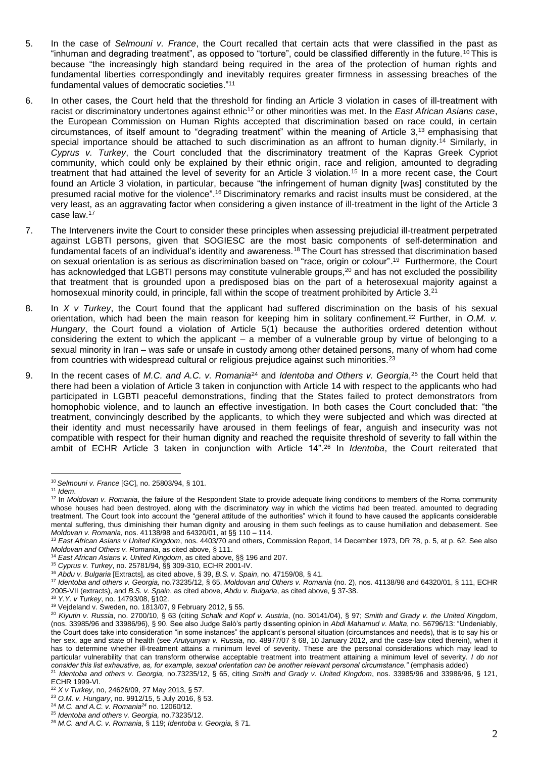- 5. In the case of *Selmouni v. France*, the Court recalled that certain acts that were classified in the past as "inhuman and degrading treatment", as opposed to "torture", could be classified differently in the future.<sup>10</sup> This is because "the increasingly high standard being required in the area of the protection of human rights and fundamental liberties correspondingly and inevitably requires greater firmness in assessing breaches of the fundamental values of democratic societies."<sup>11</sup>
- 6. In other cases, the Court held that the threshold for finding an Article 3 violation in cases of ill-treatment with racist or discriminatory undertones against ethnic<sup>12</sup> or other minorities was met. In the *East African Asians case*, the European Commission on Human Rights accepted that discrimination based on race could, in certain circumstances, of itself amount to "degrading treatment" within the meaning of Article 3,<sup>13</sup> emphasising that special importance should be attached to such discrimination as an affront to human dignity.<sup>14</sup> Similarly, in *Cyprus v. Turkey*, the Court concluded that the discriminatory treatment of the Kapras Greek Cypriot community, which could only be explained by their ethnic origin, race and religion, amounted to degrading treatment that had attained the level of severity for an Article 3 violation.<sup>15</sup> In a more recent case, the Court found an Article 3 violation, in particular, because "the infringement of human dignity [was] constituted by the presumed racial motive for the violence".<sup>16</sup> Discriminatory remarks and racist insults must be considered, at the very least, as an aggravating factor when considering a given instance of ill-treatment in the light of the Article 3 case law.<sup>17</sup>
- 7. The Interveners invite the Court to consider these principles when assessing prejudicial ill-treatment perpetrated against LGBTI persons, given that SOGIESC are the most basic components of self-determination and fundamental facets of an individual's identity and awareness.<sup>18</sup> The Court has stressed that discrimination based on sexual orientation is as serious as discrimination based on "race, origin or colour". 19 Furthermore, the Court has acknowledged that LGBTI persons may constitute vulnerable groups,<sup>20</sup> and has not excluded the possibility that treatment that is grounded upon a predisposed bias on the part of a heterosexual majority against a homosexual minority could, in principle, fall within the scope of treatment prohibited by Article 3.<sup>21</sup>
- 8. In *X v Turkey*, the Court found that the applicant had suffered discrimination on the basis of his sexual orientation, which had been the main reason for keeping him in solitary confinement.<sup>22</sup> Further, in *O.M. v. Hungary*, the Court found a violation of Article 5(1) because the authorities ordered detention without considering the extent to which the applicant – a member of a vulnerable group by virtue of belonging to a sexual minority in Iran – was safe or unsafe in custody among other detained persons, many of whom had come from countries with widespread cultural or religious prejudice against such minorities.<sup>23</sup>
- 9. In the recent cases of *M.C. and A.C. v. Romania*<sup>24</sup> and *Identoba and Others v. Georgia*, <sup>25</sup> the Court held that there had been a violation of Article 3 taken in conjunction with Article 14 with respect to the applicants who had participated in LGBTI peaceful demonstrations, finding that the States failed to protect demonstrators from homophobic violence, and to launch an effective investigation. In both cases the Court concluded that: "the treatment, convincingly described by the applicants, to which they were subjected and which was directed at their identity and must necessarily have aroused in them feelings of fear, anguish and insecurity was not compatible with respect for their human dignity and reached the requisite threshold of severity to fall within the ambit of ECHR Article 3 taken in conjunction with Article 14". <sup>26</sup> In *Identoba*, the Court reiterated that

<sup>10</sup> *Selmouni v. France* [GC], no. 25803/94, § 101.

<sup>11</sup> *Idem*.

<sup>&</sup>lt;sup>12</sup> In *Moldovan v. Romania*, the failure of the Respondent State to provide adequate living conditions to members of the Roma community whose houses had been destroyed, along with the discriminatory way in which the victims had been treated, amounted to degrading treatment. The Court took into account the "general attitude of the authorities" which it found to have caused the applicants considerable mental suffering, thus diminishing their human dignity and arousing in them such feelings as to cause humiliation and debasement. See *Moldovan v. Romania*, nos. 41138/98 and 64320/01, at §§ 110 – 114.

<sup>13</sup> *East African Asians v United Kingdom*, nos. 4403/70 and others, Commission Report, 14 December 1973, DR 78, p. 5, at p. 62. See also *Moldovan and Others v. Romania*, as cited above, § 111.

<sup>14</sup> *East African Asians v. United Kingdom*, as cited above, §§ 196 and 207.

<sup>15</sup> *Cyprus v. Turkey*, no. 25781/94, §§ 309-310, ECHR 2001-IV.

<sup>16</sup> *Abdu v. Bulgaria* [Extracts], as cited above, § 39, *B.S. v. Spain*, no. 47159/08, § 41.

<sup>17</sup> *Identoba and others v. Georgia,* no.73235/12, § 65, *Moldovan and Others v. Romania* (no. 2), nos. 41138/98 and 64320/01, § 111, ECHR 2005-VII (extracts), and *B.S. v. Spain*, as cited above, *Abdu v. Bulgaria*, as cited above, § 37-38.

<sup>18</sup> *Y.Y. v Turkey*, no. 14793/08, §102.

<sup>19</sup> Vejdeland v. Sweden, no. 1813/07, 9 February 2012, § 55.

<sup>20</sup> *Kiyutin v. Russia*, no. 2700/10, § 63 (citing *Schalk and Kopf v. Austria*, (no. 30141/04), § 97; *Smith and Grady v. the United Kingdom*, (nos. 33985/96 and 33986/96), § 90. See also Judge Salò's partly dissenting opinion in *Abdi Mahamud v. Malta*, no. 56796/13: "Undeniably, the Court does take into consideration "in some instances" the applicant's personal situation (circumstances and needs), that is to say his or her sex, age and state of health (see *Arutyunyan v. Russia*, no. 48977/07 § 68, 10 January 2012, and the case-law cited therein), when it has to determine whether ill-treatment attains a minimum level of severity. These are the personal considerations which may lead to particular vulnerability that can transform otherwise acceptable treatment into treatment attaining a minimum level of severity. *I do not consider this list exhaustive, as, for example, sexual orientation can be another relevant personal circumstance."* (emphasis added) <sup>21</sup> *Identoba and others v. Georgia,* no.73235/12, § 65, citing *Smith and Grady v. United Kingdom*, nos. 33985/96 and 33986/96, § 121, ECHR 1999-VI.

<sup>22</sup> *X v Turkey*, no, 24626/09, 27 May 2013, § 57.

<sup>23</sup> *O.M. v. Hungary*, no. 9912/15, 5 July 2016, § 53.

<sup>24</sup> *M.C. and A.C. v. Romania<sup>24</sup>* no. 12060/12.

<sup>25</sup> *Identoba and others v. Georgia,* no.73235/12.

<sup>26</sup> *M.C. and A.C. v. Romania*, § 119; *Identoba v. Georgia,* § 71.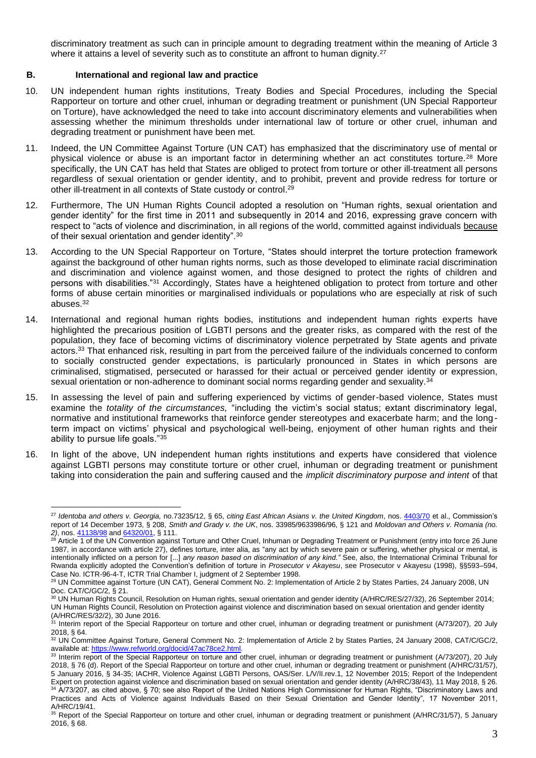discriminatory treatment as such can in principle amount to degrading treatment within the meaning of Article 3 where it attains a level of severity such as to constitute an affront to human dignity.<sup>27</sup>

# **B. International and regional law and practice**

- 10. UN independent human rights institutions, Treaty Bodies and Special Procedures, including the Special Rapporteur on torture and other cruel, inhuman or degrading treatment or punishment (UN Special Rapporteur on Torture), have acknowledged the need to take into account discriminatory elements and vulnerabilities when assessing whether the minimum thresholds under international law of torture or other cruel, inhuman and degrading treatment or punishment have been met.
- 11. Indeed, the UN Committee Against Torture (UN CAT) has emphasized that the discriminatory use of mental or physical violence or abuse is an important factor in determining whether an act constitutes torture.<sup>28</sup> More specifically, the UN CAT has held that States are obliged to protect from torture or other ill-treatment all persons regardless of sexual orientation or gender identity, and to prohibit, prevent and provide redress for torture or other ill-treatment in all contexts of State custody or control.<sup>29</sup>
- 12. Furthermore, The UN Human Rights Council adopted a resolution on "Human rights, sexual orientation and gender identity" for the first time in 2011 and subsequently in 2014 and 2016, expressing grave concern with respect to "acts of violence and discrimination, in all regions of the world, committed against individuals because of their sexual orientation and gender identity".<sup>30</sup>
- 13. According to the UN Special Rapporteur on Torture, "States should interpret the torture protection framework against the background of other human rights norms, such as those developed to eliminate racial discrimination and discrimination and violence against women, and those designed to protect the rights of children and persons with disabilities."<sup>31</sup> Accordingly, States have a heightened obligation to protect from torture and other forms of abuse certain minorities or marginalised individuals or populations who are especially at risk of such abuses<sup>32</sup>
- 14. International and regional human rights bodies, institutions and independent human rights experts have highlighted the precarious position of LGBTI persons and the greater risks, as compared with the rest of the population, they face of becoming victims of discriminatory violence perpetrated by State agents and private actors.<sup>33</sup> That enhanced risk, resulting in part from the perceived failure of the individuals concerned to conform to socially constructed gender expectations, is particularly pronounced in States in which persons are criminalised, stigmatised, persecuted or harassed for their actual or perceived gender identity or expression, sexual orientation or non-adherence to dominant social norms regarding gender and sexuality.<sup>34</sup>
- 15. In assessing the level of pain and suffering experienced by victims of gender-based violence, States must examine the *totality of the circumstances,* "including the victim's social status; extant discriminatory legal, normative and institutional frameworks that reinforce gender stereotypes and exacerbate harm; and the long term impact on victims' physical and psychological well-being, enjoyment of other human rights and their ability to pursue life goals."<sup>35</sup>
- 16. In light of the above, UN independent human rights institutions and experts have considered that violence against LGBTI persons may constitute torture or other cruel, inhuman or degrading treatment or punishment taking into consideration the pain and suffering caused and the *implicit discriminatory purpose and intent* of that

<sup>27</sup> *Identoba and others v. Georgia,* no.73235/12, § 65, *citing East African Asians v. the United Kingdom*, nos. [4403/70](https://hudoc.echr.coe.int/eng#_blank) et al., Commission's report of 14 December 1973, § 208, *Smith and Grady v. the UK*, nos. 33985/9633986/96, § 121 and *Moldovan and Others v. Romania (no. 2)*, nos[. 41138/98](https://hudoc.echr.coe.int/eng#_blank) and [64320/01,](https://hudoc.echr.coe.int/eng#_blank) § 111.

<sup>&</sup>lt;sup>28</sup> Article 1 of the UN Convention against Torture and Other Cruel, Inhuman or Degrading Treatment or Punishment (entry into force 26 June 1987, in accordance with article 27), defines torture, inter alia, as "any act by which severe pain or suffering, whether physical or mental, is intentionally inflicted on a person for [...] *any reason based on discrimination of any kind."* See, also, the International Criminal Tribunal for Rwanda explicitly adopted the Convention's definition of torture in *Prosecutor v Akayesu*, see Prosecutor v Akayesu (1998), §§593–594, Case No. ICTR-96-4-T, ICTR Trial Chamber I, judgment of 2 September 1998.

<sup>29</sup> UN Committee against Torture (UN CAT), General Comment No. 2: Implementation of Article 2 by States Parties, 24 January 2008, UN Doc. CAT/C/GC/2, § 21.

<sup>&</sup>lt;sup>30</sup> UN Human Rights Council, Resolution on Human rights, sexual orientation and gender identity (A/HRC/RES/27/32), 26 September 2014; UN Human Rights Council, Resolution on Protection against violence and discrimination based on sexual orientation and gender identity (A/HRC/RES/32/2), 30 June 2016.

<sup>&</sup>lt;sup>31</sup> Interim report of the Special Rapporteur on torture and other cruel, inhuman or degrading treatment or punishment (A/73/207), 20 July 2018, § 64.

<sup>&</sup>lt;sup>32</sup> UN Committee Against Torture, General Comment No. 2: Implementation of Article 2 by States Parties, 24 January 2008, CAT/C/GC/2, available at: https://www.refworld.org/docid/47ac78ce2.html

<sup>33</sup> Interim report of the Special Rapporteur on torture and other cruel, inhuman or degrading treatment or punishment (A/73/207), 20 July 2018, § 76 (d). Report of the Special Rapporteur on torture and other cruel, inhuman or degrading treatment or punishment (A/HRC/31/57), 5 January 2016, § 34-35; IACHR, Violence Against LGBTI Persons, OAS/Ser. L/V/II.rev.1, 12 November 2015; Report of the Independent Expert on protection against violence and discrimination based on sexual orientation and gender identity (A/HRC/38/43), 11 May 2018, § 26. <sup>34</sup> A/73/207, as cited above, § 70; see also Report of the United Nations High Commissioner for Human Rights, "Discriminatory Laws and Practices and Acts of Violence against Individuals Based on their Sexual Orientation and Gender Identity", 17 November 2011, A/HRC/19/41.

<sup>&</sup>lt;sup>35</sup> Report of the Special Rapporteur on torture and other cruel, inhuman or degrading treatment or punishment (A/HRC/31/57), 5 January 2016, § 68.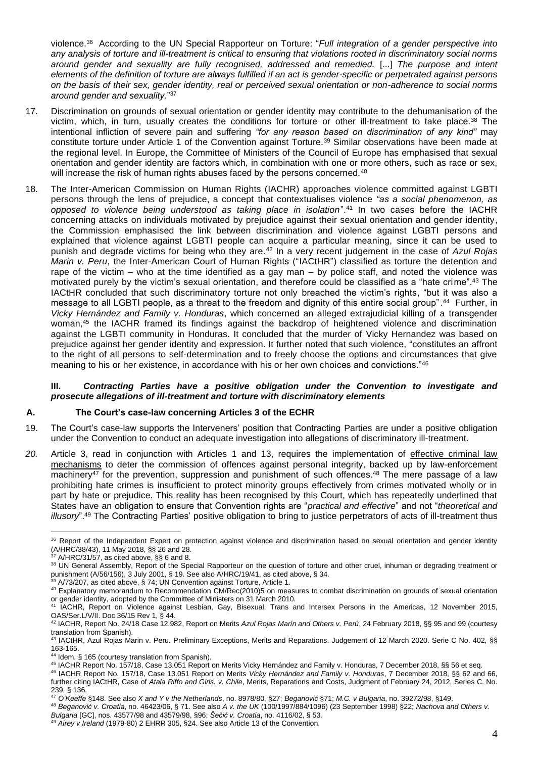violence. <sup>36</sup> According to the UN Special Rapporteur on Torture: "*Full integration of a gender perspective into any analysis of torture and ill-treatment is critical to ensuring that violations rooted in discriminatory social norms around gender and sexuality are fully recognised, addressed and remedied.* [...] *The purpose and intent elements of the definition of torture are always fulfilled if an act is gender-specific or perpetrated against persons on the basis of their sex, gender identity, real or perceived sexual orientation or non-adherence to social norms around gender and sexuality.*" 37

- 17. Discrimination on grounds of sexual orientation or gender identity may contribute to the dehumanisation of the victim, which, in turn, usually creates the conditions for torture or other ill-treatment to take place.<sup>38</sup> The intentional infliction of severe pain and suffering *"for any reason based on discrimination of any kind"* may constitute torture under Article 1 of the Convention against Torture.<sup>39</sup> Similar observations have been made at the regional level. In Europe, the Committee of Ministers of the Council of Europe has emphasised that sexual orientation and gender identity are factors which, in combination with one or more others, such as race or sex, will increase the risk of human rights abuses faced by the persons concerned.<sup>40</sup>
- 18. The Inter-American Commission on Human Rights (IACHR) approaches violence committed against LGBTI persons through the lens of prejudice, a concept that contextualises violence *"as a social phenomenon, as opposed to violence being understood as taking place in isolation*". <sup>41</sup> In two cases before the IACHR concerning attacks on individuals motivated by prejudice against their sexual orientation and gender identity, the Commission emphasised the link between discrimination and violence against LGBTI persons and explained that violence against LGBTI people can acquire a particular meaning, since it can be used to punish and degrade victims for being who they are.<sup>42</sup> In a very recent judgement in the case of *Azul Rojas Marin v. Peru*, the Inter-American Court of Human Rights ("IACtHR") classified as torture the detention and rape of the victim – who at the time identified as a gay man – by police staff, and noted the violence was motivated purely by the victim's sexual orientation, and therefore could be classified as a "hate crime".<sup>43</sup> The IACtHR concluded that such discriminatory torture not only breached the victim's rights, "but it was also a message to all LGBTI people, as a threat to the freedom and dignity of this entire social group". <sup>44</sup> Further, in *Vicky Hernández and Family v. Honduras*, which concerned an alleged extrajudicial killing of a transgender woman,<sup>45</sup> the IACHR framed its findings against the backdrop of heightened violence and discrimination against the LGBTI community in Honduras. It concluded that the murder of Vicky Hernandez was based on prejudice against her gender identity and expression. It further noted that such violence, "constitutes an affront to the right of all persons to self-determination and to freely choose the options and circumstances that give meaning to his or her existence, in accordance with his or her own choices and convictions."<sup>46</sup>

## **III.** *Contracting Parties have a positive obligation under the Convention to investigate and prosecute allegations of ill-treatment and torture with discriminatory elements*

# **A. The Court's case-law concerning Articles 3 of the ECHR**

- 19. The Court's case-law supports the Interveners' position that Contracting Parties are under a positive obligation under the Convention to conduct an adequate investigation into allegations of discriminatory ill-treatment.
- *20.* Article 3, read in conjunction with Articles 1 and 13, requires the implementation of effective criminal law mechanisms to deter the commission of offences against personal integrity, backed up by law-enforcement machinery<sup>47</sup> for the prevention, suppression and punishment of such offences.<sup>48</sup> The mere passage of a law prohibiting hate crimes is insufficient to protect minority groups effectively from crimes motivated wholly or in part by hate or prejudice. This reality has been recognised by this Court, which has repeatedly underlined that States have an obligation to ensure that Convention rights are "*practical and effective*" and not "*theoretical and illusory*". <sup>49</sup> The Contracting Parties' positive obligation to bring to justice perpetrators of acts of ill-treatment thus

<sup>&</sup>lt;sup>36</sup> Report of the Independent Expert on protection against violence and discrimination based on sexual orientation and gender identity (A/HRC/38/43), 11 May 2018, §§ 26 and 28.

 $37$  A/HRC/31/57, as cited above, §§ 6 and 8.

<sup>38</sup> UN General Assembly, Report of the Special Rapporteur on the question of torture and other cruel, inhuman or degrading treatment or punishment (A/56/156), 3 July 2001, § 19. See also A/HRC/19/41, as cited above, § 34.

 $34/73/207$ , as cited above, § 74; UN Convention against Torture, Article 1.

<sup>40</sup> Explanatory memorandum to Recommendation CM/Rec(2010)5 on measures to combat discrimination on grounds of sexual orientation or gender identity, adopted by the Committee of Ministers on 31 March 2010.

<sup>41</sup> IACHR, Report on Violence against Lesbian, Gay, Bisexual, Trans and Intersex Persons in the Americas, 12 November 2015, OAS/Ser.L/V/II. Doc 36/15 Rev 1, § 44.

<sup>42</sup> IACHR, Report No. 24/18 Case 12.982, Report on Merits *Azul Rojas Marín and Others v. Perú*, 24 February 2018, §§ 95 and 99 (courtesy translation from Spanish).

<sup>43</sup> IACtHR, Azul Rojas Marin v. Peru. Preliminary Exceptions, Merits and Reparations. Judgement of 12 March 2020. Serie C No. 402, §§ 163-165.

<sup>44</sup> Idem, § 165 (courtesy translation from Spanish).

<sup>45</sup> IACHR Report No. 157/18, Case 13.051 Report on Merits Vicky Hernández and Family v. Honduras, 7 December 2018, §§ 56 et seq.

<sup>46</sup> IACHR Report No. 157/18, Case 13.051 Report on Merits *Vicky Hernández and Family v. Honduras*, 7 December 2018, §§ 62 and 66, further citing IACtHR, Case of *Atala Riffo and Girls. v. Chile*, Merits, Reparations and Costs, Judgment of February 24, 2012, Series C. No. 239, § 136.

<sup>47</sup> *O'Keeffe* §148. See also *X and Y v the Netherlands*, no. 8978/80, §27; *Beganović* §71; *M.C. v Bulgaria*, no. 39272/98, §149.

<sup>48</sup> *Beganović v. Croatia*, no. 46423/06, § 71. See also *A v. the UK* (100/1997/884/1096) (23 September 1998) §22; *Nachova and Others v. Bulgaria* [GC], nos. 43577/98 and 43579/98, §96; *Šečić v. Croatia*, no. 4116/02, § 53.

<sup>49</sup> *Airey v Ireland* (1979-80) 2 EHRR 305, §24. See also Article 13 of the Convention.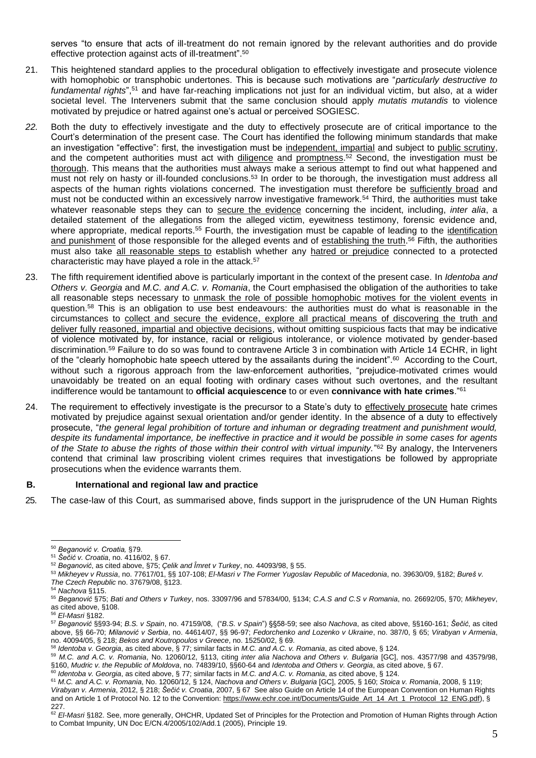serves "to ensure that acts of ill-treatment do not remain ignored by the relevant authorities and do provide effective protection against acts of ill-treatment". 50

- 21. This heightened standard applies to the procedural obligation to effectively investigate and prosecute violence with homophobic or transphobic undertones. This is because such motivations are "*particularly destructive to*  fundamental rights",<sup>51</sup> and have far-reaching implications not just for an individual victim, but also, at a wider societal level. The Interveners submit that the same conclusion should apply *mutatis mutandis* to violence motivated by prejudice or hatred against one's actual or perceived SOGIESC.
- *22.* Both the duty to effectively investigate and the duty to effectively prosecute are of critical importance to the Court's determination of the present case. The Court has identified the following minimum standards that make an investigation "effective": first, the investigation must be independent, impartial and subject to public scrutiny, and the competent authorities must act with diligence and promptness.<sup>52</sup> Second, the investigation must be thorough. This means that the authorities must always make a serious attempt to find out what happened and must not rely on hasty or ill-founded conclusions.<sup>53</sup> In order to be thorough, the investigation must address all aspects of the human rights violations concerned. The investigation must therefore be sufficiently broad and must not be conducted within an excessively narrow investigative framework.<sup>54</sup> Third, the authorities must take whatever reasonable steps they can to secure the evidence concerning the incident, including, *inter alia*, a detailed statement of the allegations from the alleged victim, eyewitness testimony, forensic evidence and, where appropriate, medical reports.<sup>55</sup> Fourth, the investigation must be capable of leading to the identification and punishment of those responsible for the alleged events and of establishing the truth.<sup>56</sup> Fifth, the authorities must also take all reasonable steps to establish whether any hatred or prejudice connected to a protected characteristic may have played a role in the attack.<sup>57</sup>
- 23. The fifth requirement identified above is particularly important in the context of the present case. In *Identoba and Others v. Georgia* and *M.C. and A.C. v. Romania*, the Court emphasised the obligation of the authorities to take all reasonable steps necessary to unmask the role of possible homophobic motives for the violent events in question.<sup>58</sup> This is an obligation to use best endeavours: the authorities must do what is reasonable in the circumstances to collect and secure the evidence, explore all practical means of discovering the truth and deliver fully reasoned, impartial and objective decisions, without omitting suspicious facts that may be indicative of violence motivated by, for instance, racial or religious intolerance, or violence motivated by gender-based discrimination.<sup>59</sup> Failure to do so was found to contravene Article 3 in combination with Article 14 ECHR, in light of the "clearly homophobic hate speech uttered by the assailants during the incident". 60 According to the Court, without such a rigorous approach from the law-enforcement authorities, "prejudice-motivated crimes would unavoidably be treated on an equal footing with ordinary cases without such overtones, and the resultant indifference would be tantamount to **official acquiescence** to or even **connivance with hate crimes**."<sup>61</sup>
- 24. The requirement to effectively investigate is the precursor to a State's duty to effectively prosecute hate crimes motivated by prejudice against sexual orientation and/or gender identity. In the absence of a duty to effectively prosecute, "*the general legal prohibition of torture and inhuman or degrading treatment and punishment would, despite its fundamental importance, be ineffective in practice and it would be possible in some cases for agents of the State to abuse the rights of those within their control with virtual impunity.*" <sup>62</sup> By analogy, the Interveners contend that criminal law proscribing violent crimes requires that investigations be followed by appropriate prosecutions when the evidence warrants them.

#### **B. International and regional law and practice**

25. The case-law of this Court, as summarised above, finds support in the jurisprudence of the UN Human Rights

<sup>50</sup> *Beganović v. Croatia,* §79.

<sup>51</sup> *Šečić v. Croatia*, no. 4116/02, § 67.

<sup>52</sup> *Beganović*, as cited above, §75; *Çelik and Îmret v Turkey*, no. 44093/98, § 55.

<sup>53</sup> *Mikheyev v Russia*, no. 77617/01, §§ 107-108; *El-Masri v The Former Yugoslav Republic of Macedonia*, no. 39630/09, §182; *Bureš v. The Czech Republic* no. 37679/08, §123.

<sup>54</sup> *Nachova* §115.

<sup>55</sup> *Beganović* §75; *Bati and Others v Turkey*, nos. 33097/96 and 57834/00, §134; *C.A.S and C.S v Romania*, no. 26692/05, §70; *Mikheyev*, as cited above, §108.

<sup>56</sup> *El-Masri* §182.

<sup>57</sup> *Beganović* §§93-94; *B.S. v Spain*, no. 47159/08, ("*B.S. v Spain*") §§58-59; see also *Nachova*, as cited above, §§160-161; *Šečić*, as cited above, §§ 66-70; *Milanović v Serbia*, no. 44614/07, §§ 96-97; *Fedorchenko and Lozenko v Ukraine*, no. 387/0, § 65; *Virabyan v Armenia*, no. 40094/05, § 218; *Bekos and Koutropoulos v Greece*, no. 15250/02, § 69.

<sup>58</sup> *Identoba v. Georgia*, as cited above, § 77; similar facts in *M.C. and A.C. v. Romania*, as cited above, § 124.

<sup>59</sup> *M.C. and A.C. v. Romania*, No. 12060/12, §113, citing *inter alia Nachova and Others v. Bulgaria* [GC], nos. 43577/98 and 43579/98, §160, *Mudric v. the Republic of Moldova*, no. 74839/10, §§60-64 and *Identoba and Others v. Georgia*, as cited above, § 67.

<sup>60</sup> *Identoba v. Georgia*, as cited above, § 77; similar facts in *M.C. and A.C. v. Romania*, as cited above, § 124.

<sup>61</sup> *M.C. and A.C. v. Romania*, No. 12060/12, § 124, *Nachova and Others v. Bulgaria* [GC], 2005, § 160; *Stoica v. Romania*, 2008, § 119; *Virabyan v. Armenia*, 2012, § 218; *Šečić v. Croatia*, 2007, § 67 See also Guide on Article 14 of the European Convention on Human Rights and on Article 1 of Protocol No. 12 to the Convention: [https://www.echr.coe.int/Documents/Guide\\_Art\\_14\\_Art\\_1\\_Protocol\\_12\\_ENG.pdf\)](https://www.echr.coe.int/Documents/Guide_Art_14_Art_1_Protocol_12_ENG.pdf), § 227.

<sup>62</sup> *El-Masri* §182. See, more generally, OHCHR, Updated Set of Principles for the Protection and Promotion of Human Rights through Action to Combat Impunity, UN Doc E/CN.4/2005/102/Add.1 (2005), Principle 19.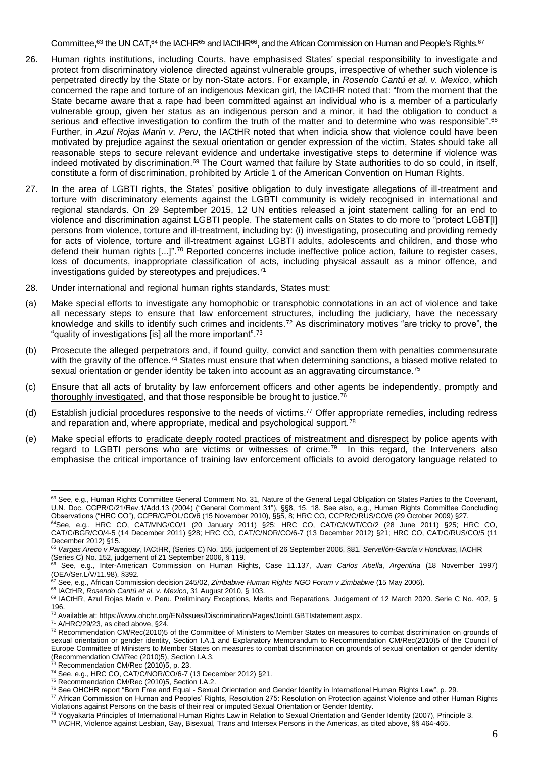Committee,<sup>63</sup> the UN CAT,<sup>64</sup> the IACHR<sup>65</sup> and IACtHR<sup>66</sup>, and the African Commission on Human and People's Rights.<sup>67</sup>

- 26. Human rights institutions, including Courts, have emphasised States' special responsibility to investigate and protect from discriminatory violence directed against vulnerable groups, irrespective of whether such violence is perpetrated directly by the State or by non-State actors. For example, in *Rosendo Cantú et al. v. Mexico*, which concerned the rape and torture of an indigenous Mexican girl, the IACtHR noted that: "from the moment that the State became aware that a rape had been committed against an individual who is a member of a particularly vulnerable group, given her status as an indigenous person and a minor, it had the obligation to conduct a serious and effective investigation to confirm the truth of the matter and to determine who was responsible".<sup>68</sup> Further, in *Azul Rojas Marin v. Peru*, the IACtHR noted that when indicia show that violence could have been motivated by prejudice against the sexual orientation or gender expression of the victim, States should take all reasonable steps to secure relevant evidence and undertake investigative steps to determine if violence was indeed motivated by discrimination. <sup>69</sup> The Court warned that failure by State authorities to do so could, in itself, constitute a form of discrimination, prohibited by Article 1 of the American Convention on Human Rights.
- 27. In the area of LGBTI rights, the States' positive obligation to duly investigate allegations of ill-treatment and torture with discriminatory elements against the LGBTI community is widely recognised in international and regional standards. On 29 September 2015, 12 UN entities released a joint statement calling for an end to violence and discrimination against LGBTI people. The statement calls on States to do more to "protect LGBT[I] persons from violence, torture and ill-treatment, including by: (i) investigating, prosecuting and providing remedy for acts of violence, torture and ill-treatment against LGBTI adults, adolescents and children, and those who defend their human rights [...]".<sup>70</sup> Reported concerns include ineffective police action, failure to register cases, loss of documents, inappropriate classification of acts, including physical assault as a minor offence, and investigations guided by stereotypes and prejudices.<sup>71</sup>
- 28. Under international and regional human rights standards, States must:
- (a) Make special efforts to investigate any homophobic or transphobic connotations in an act of violence and take all necessary steps to ensure that law enforcement structures, including the judiciary, have the necessary knowledge and skills to identify such crimes and incidents.<sup>72</sup> As discriminatory motives "are tricky to prove", the "quality of investigations [is] all the more important".<sup>73</sup>
- (b) Prosecute the alleged perpetrators and, if found guilty, convict and sanction them with penalties commensurate with the gravity of the offence.<sup>74</sup> States must ensure that when determining sanctions, a biased motive related to sexual orientation or gender identity be taken into account as an aggravating circumstance.<sup>75</sup>
- (c) Ensure that all acts of brutality by law enforcement officers and other agents be independently, promptly and thoroughly investigated, and that those responsible be brought to justice.<sup>76</sup>
- (d) Establish judicial procedures responsive to the needs of victims.<sup>77</sup> Offer appropriate remedies, including redress and reparation and, where appropriate, medical and psychological support.<sup>78</sup>
- (e) Make special efforts to eradicate deeply rooted practices of mistreatment and disrespect by police agents with regard to LGBTI persons who are victims or witnesses of crime.<sup>79</sup> In this regard, the Interveners also emphasise the critical importance of training law enforcement officials to avoid derogatory language related to

<sup>68</sup> IACtHR, *Rosendo Cantú et al. v. Mexico*, 31 August 2010, § 103.

<sup>63</sup> See, e.g., Human Rights Committee General Comment No. 31, Nature of the General Legal Obligation on States Parties to the Covenant, U.N. Doc. CCPR/C/21/Rev.1/Add.13 (2004) ("General Comment 31"), §§8, 15, 18. See also, e.g., Human Rights Committee Concluding Observations ("HRC CO"), CCPR/C/POL/CO/6 (15 November 2010), §§5, 8; HRC CO, CCPR/C/RUS/CO/6 (29 October 2009) §27.

<sup>64</sup>See, e.g., HRC CO, CAT/MNG/CO/1 (20 January 2011) §25; HRC CO, CAT/C/KWT/CO/2 (28 June 2011) §25; HRC CO, CAT/C/BGR/CO/4-5 (14 December 2011) §28; HRC CO, CAT/C/NOR/CO/6-7 (13 December 2012) §21; HRC CO, CAT/C/RUS/CO/5 (11 December 2012) §15.

<sup>65</sup> *Vargas Areco v Paraguay*, IACtHR, (Series C) No. 155, judgement of 26 September 2006, §81. *Servellón-García v Honduras*, IACHR (Series C) No. 152, judgement of 21 September 2006, § 119.

<sup>66</sup> See, e.g., Inter-American Commission on Human Rights, Case 11.137, *Juan Carlos Abella, Argentina* (18 November 1997) (OEA/Ser.L/V/11.98), §392.

<sup>67</sup> See, e.g., African Commission decision 245/02, *Zimbabwe Human Rights NGO Forum v Zimbabwe* (15 May 2006).

<sup>69</sup> IACtHR, Azul Rojas Marin v. Peru. Preliminary Exceptions, Merits and Reparations. Judgement of 12 March 2020. Serie C No. 402, § 196.

<sup>&</sup>lt;sup>70</sup> Available at: [https://www.ohchr.org/EN/Issues/Discrimination/Pages/JointLGBTIstatement.aspx.](https://www.ohchr.org/EN/Issues/Discrimination/Pages/JointLGBTIstatement.aspx)

 $71$  A/HRC/29/23, as cited above,  $\S 24$ .

 $72$  Recommendation CM/Rec(2010)5 of the Committee of Ministers to Member States on measures to combat discrimination on grounds of sexual orientation or gender identity, Section I.A.1 and Explanatory Memorandum to Recommendation CM/Rec(2010)5 of the Council of Europe Committee of Ministers to Member States on measures to combat discrimination on grounds of sexual orientation or gender identity (Recommendation CM/Rec (2010)5), Section I.A.3.

 $73$  Recommendation CM/Rec (2010)5, p. 23.

<sup>74</sup> See, e.g., HRC CO, CAT/C/NOR/CO/6-7 (13 December 2012) §21.

<sup>75</sup> Recommendation CM/Rec (2010)5, Section I.A.2.

<sup>76</sup> See OHCHR report "Born Free and Equal - Sexual Orientation and Gender Identity in International Human Rights Law", p. 29.

 $77$  African Commission on Human and Peoples' Rights, Resolution 275: Resolution on Protection against Violence and other Human Rights Violations against Persons on the basis of their real or imputed Sexual Orientation or Gender Identity.

<sup>78</sup> Yogyakarta Principles of International Human Rights Law in Relation to Sexual Orientation and Gender Identity (2007), Principle 3.

<sup>79</sup> IACHR, Violence against Lesbian, Gay, Bisexual, Trans and Intersex Persons in the Americas, as cited above, §§ 464-465.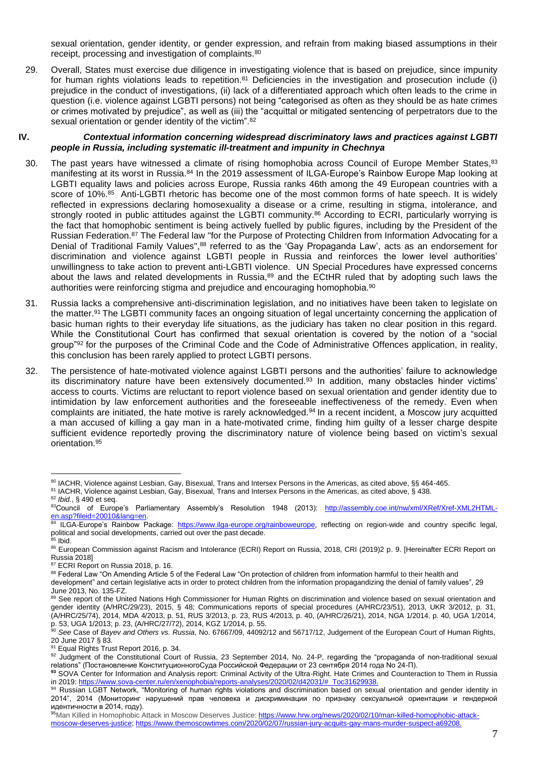sexual orientation, gender identity, or gender expression, and refrain from making biased assumptions in their receipt, processing and investigation of complaints.<sup>80</sup>

29. Overall, States must exercise due diligence in investigating violence that is based on prejudice, since impunity for human rights violations leads to repetition.<sup>81</sup> Deficiencies in the investigation and prosecution include (i) prejudice in the conduct of investigations, (ii) lack of a differentiated approach which often leads to the crime in question (i.e. violence against LGBTI persons) not being "categorised as often as they should be as hate crimes or crimes motivated by prejudice", as well as (iii) the "acquittal or mitigated sentencing of perpetrators due to the sexual orientation or gender identity of the victim".<sup>82</sup>

#### **IV.** *Contextual information concerning widespread discriminatory laws and practices against LGBTI people in Russia, including systematic ill-treatment and impunity in Chechnya*

- 30. The past years have witnessed a climate of rising homophobia across Council of Europe Member States,<sup>83</sup> manifesting at its worst in Russia.<sup>84</sup> In the 2019 assessment of ILGA-Europe's Rainbow Europe Map looking at LGBTI equality laws and policies across Europe, Russia ranks 46th among the 49 European countries with a score of 10%.<sup>85</sup> Anti-LGBTI rhetoric has become one of the most common forms of hate speech. It is widely reflected in expressions declaring homosexuality a disease or a crime, resulting in stigma, intolerance, and strongly rooted in public attitudes against the LGBTI community.<sup>86</sup> According to ECRI, particularly worrying is the fact that homophobic sentiment is being actively fuelled by public figures, including by the President of the Russian Federation.<sup>87</sup> The Federal law "for the Purpose of Protecting Children from Information Advocating for a Denial of Traditional Family Values",<sup>88</sup> referred to as the 'Gay Propaganda Law', acts as an endorsement for discrimination and violence against LGBTI people in Russia and reinforces the lower level authorities' unwillingness to take action to prevent anti-LGBTI violence. UN Special Procedures have expressed concerns about the laws and related developments in Russia,<sup>89</sup> and the ECtHR ruled that by adopting such laws the authorities were reinforcing stigma and prejudice and encouraging homophobia.<sup>90</sup>
- 31. Russia lacks a comprehensive anti-discrimination legislation, and no initiatives have been taken to legislate on the matter.<sup>91</sup> The LGBTI community faces an ongoing situation of legal uncertainty concerning the application of basic human rights to their everyday life situations, as the judiciary has taken no clear position in this regard. While the Constitutional Court has confirmed that sexual orientation is covered by the notion of a "social group"<sup>92</sup> for the purposes of the Criminal Code and the Code of Administrative Offences application, in reality, this conclusion has been rarely applied to protect LGBTI persons.
- 32. The persistence of hate-motivated violence against LGBTI persons and the authorities' failure to acknowledge its discriminatory nature have been extensively documented.<sup>93</sup> In addition, many obstacles hinder victims' access to courts. Victims are reluctant to report violence based on sexual orientation and gender identity due to intimidation by law enforcement authorities and the foreseeable ineffectiveness of the remedy. Even when complaints are initiated, the hate motive is rarely acknowledged.<sup>94</sup> In a recent incident, a Moscow jury acquitted a man accused of killing a gay man in a hate-motivated crime, finding him guilty of a lesser charge despite sufficient evidence reportedly proving the discriminatory nature of violence being based on victim's sexual orientation. 95

<sup>80</sup> IACHR, Violence against Lesbian, Gay, Bisexual, Trans and Intersex Persons in the Americas, as cited above, §§ 464-465.

<sup>81</sup> IACHR, Violence against Lesbian, Gay, Bisexual, Trans and Intersex Persons in the Americas, as cited above, § 438.

<sup>82</sup> *Ibid.*, § 490 et seq.

<sup>83</sup>Council of Europe's Parliamentary Assembly's Resolution 1948 (2013): [http://assembly.coe.int/nw/xml/XRef/Xref-XML2HTML](http://assembly.coe.int/nw/xml/XRef/Xref-XML2HTML-en.asp?fileid=20010&lang=en)[en.asp?fileid=20010&lang=en.](http://assembly.coe.int/nw/xml/XRef/Xref-XML2HTML-en.asp?fileid=20010&lang=en) 

<sup>84</sup> ILGA-Europe's Rainbow Package: [https://www.ilga-europe.org/rainboweurope,](https://www.ilga-europe.org/rainboweurope) reflecting on region-wide and country specific legal, political and social developments, carried out over the past decade. <sup>85</sup> Ibid.

<sup>86</sup> European Commission against Racism and Intolerance (ECRI) Report on Russia, 2018, CRI (2019)2 p. 9. [Hereinafter ECRI Report on Russia 2018]

<sup>87</sup> ECRI Report on Russia 2018, p. 16.

<sup>88</sup> Federal Law "On Amending Article 5 of the Federal Law "On protection of children from information harmful to their health and

development" and certain legislative acts in order to protect children from the information propagandizing the denial of family values", 29 June 2013, No. 135-FZ.

<sup>89</sup> See report of the United Nations High Commissioner for Human Rights on discrimination and violence based on sexual orientation and gender identity (A/HRC/29/23), 2015, § 48; Communications reports of special procedures (A/HRC/23/51), 2013, UKR 3/2012, p. 31, (A/HRC/25/74), 2014, MDA 4/2013, p. 51, RUS 3/2013, p. 23, RUS 4/2013, p. 40, (A/HRC/26/21), 2014, NGA 1/2014, p. 40, UGA 1/2014, p. 53, UGA 1/2013; p. 23, (A/HRC/27/72), 2014, KGZ 1/2014, p. 55.

<sup>90</sup> *See* Case of *Bayev and Others vs. Russia*, No. 67667/09, 44092/12 and 56717/12, Judgement of the European Court of Human Rights, 20 June 2017 § 83.

<sup>91</sup> Equal Rights Trust Report 2016, p. 34.

<sup>92</sup> Judgment of the Constitutional Court of Russia, 23 September 2014, No. 24-P, regarding the "propaganda of non-traditional sexual relations" (Постановление КонституционногоСуда Российской Федерации от 23 сентября 2014 года No 24-П).

**<sup>93</sup>** SOVA Center for Information and Analysis report: Criminal Activity of the Ultra-Right. Hate Crimes and Counteraction to Them in Russia in 2019[: https://www.sova-center.ru/en/xenophobia/reports-analyses/2020/02/d42031/#\\_Toc31629938.](https://www.sova-center.ru/en/xenophobia/reports-analyses/2020/02/d42031/#_Toc31629938)

<sup>94</sup> Russian LGBT Network, "Monitoring of human rights violations and discrimination based on sexual orientation and gender identity in 2014", 2014 (Мониторинг нарушений прав человека и дискриминации по признаку сексуальной ориентации и гендерной идентичности в 2014, году).

<sup>95</sup>Man Killed in Homophobic Attack in Moscow Deserves Justice[: https://www.hrw.org/news/2020/02/10/man-killed-homophobic-attack](https://www.hrw.org/news/2020/02/10/man-killed-homophobic-attack-moscow-deserves-justice)[moscow-deserves-justice;](https://www.hrw.org/news/2020/02/10/man-killed-homophobic-attack-moscow-deserves-justice) [https://www.themoscowtimes.com/2020/02/07/russian-jury-acquits-gay-mans-murder-suspect-a69208.](https://www.themoscowtimes.com/2020/02/07/russian-jury-acquits-gay-mans-murder-suspect-a69208)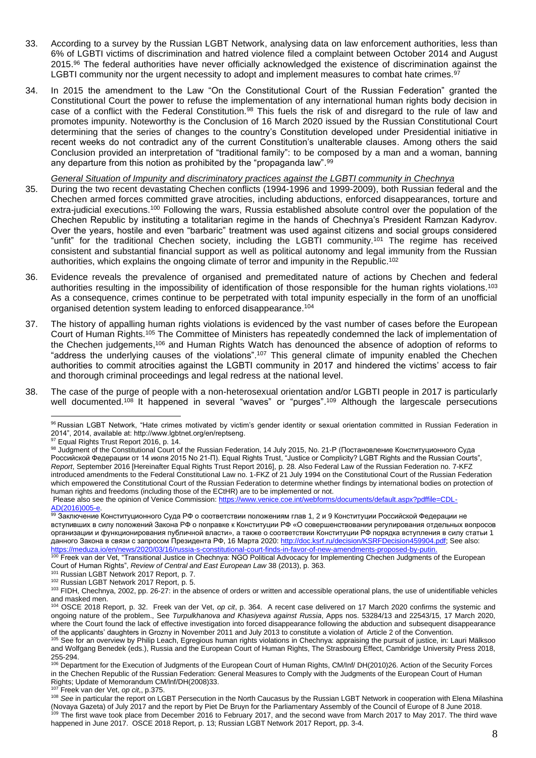- 33. According to a survey by the Russian LGBT Network, analysing data on law enforcement authorities, less than 6% of LGBTI victims of discrimination and hatred violence filed a complaint between October 2014 and August 2015.<sup>96</sup> The federal authorities have never officially acknowledged the existence of discrimination against the LGBTI community nor the urgent necessity to adopt and implement measures to combat hate crimes.<sup>97</sup>
- 34. In 2015 the amendment to the Law "On the Constitutional Court of the Russian Federation" granted the Constitutional Court the power to refuse the implementation of any international human rights body decision in case of a conflict with the Federal Constitution.<sup>98</sup> This fuels the risk of and disregard to the rule of law and promotes impunity. Noteworthy is the Conclusion of 16 March 2020 issued by the Russian Constitutional Court determining that the series of changes to the country's Constitution developed under Presidential initiative in recent weeks do not contradict any of the current Constitution's unalterable clauses. Among others the said Conclusion provided an interpretation of "traditional family": to be composed by a man and a woman, banning any departure from this notion as prohibited by the "propaganda law".<sup>99</sup>

*General Situation of Impunity and discriminatory practices against the LGBTI community in Chechnya* 

- 35. During the two recent devastating Chechen conflicts (1994-1996 and 1999-2009), both Russian federal and the Chechen armed forces committed grave atrocities, including abductions, enforced disappearances, torture and extra-judicial executions.<sup>100</sup> Following the wars, Russia established absolute control over the population of the Chechen Republic by instituting a totalitarian regime in the hands of Chechnya's President Ramzan Kadyrov. Over the years, hostile and even "barbaric" treatment was used against citizens and social groups considered "unfit" for the traditional Chechen society, including the LGBTI community.<sup>101</sup> The regime has received consistent and substantial financial support as well as political autonomy and legal immunity from the Russian authorities, which explains the ongoing climate of terror and impunity in the Republic.<sup>102</sup>
- 36. Evidence reveals the prevalence of organised and premeditated nature of actions by Chechen and federal authorities resulting in the impossibility of identification of those responsible for the human rights violations.<sup>103</sup> As a consequence, crimes continue to be perpetrated with total impunity especially in the form of an unofficial organised detention system leading to enforced disappearance. 104
- 37. The history of appalling human rights violations is evidenced by the vast number of cases before the European Court of Human Rights.<sup>105</sup> The Committee of Ministers has repeatedly condemned the lack of implementation of the Chechen judgements,<sup>106</sup> and Human Rights Watch has denounced the absence of adoption of reforms to "address the underlying causes of the violations".<sup>107</sup> This general climate of impunity enabled the Chechen authorities to commit atrocities against the LGBTI community in 2017 and hindered the victims' access to fair and thorough criminal proceedings and legal redress at the national level.
- 38. The case of the purge of people with a non-heterosexual orientation and/or LGBTI people in 2017 is particularly well documented.<sup>108</sup> It happened in several "waves" or "purges".<sup>109</sup> Although the largescale persecutions

<sup>107</sup> Freek van der Vet, *op cit*,, p.375.

<sup>96</sup> Russian LGBT Network, "Hate crimes motivated by victim's gender identity or sexual orientation committed in Russian Federation in 2014", 2014, available at: http://www.lgbtnet.org/en/reptseng.

<sup>97</sup> Equal Rights Trust Report 2016, p. 14.

<sup>98</sup> Judgment of the Constitutional Court of the Russian Federation, 14 July 2015, No. 21-P (Постановление Конституционного Суда Российской Федерации от 14 июля 2015 No 21-П). Equal Rights Trust, "Justice or Complicity? LGBT Rights and the Russian Courts", *Report*, September 2016 [Hereinafter Equal Rights Trust Report 2016], p. 28. Also Federal Law of the Russian Federation no. 7-KFZ introduced amendments to the Federal Constitutional Law no. 1-FKZ of 21 July 1994 on the Constitutional Court of the Russian Federation which empowered the Constitutional Court of the Russian Federation to determine whether findings by international bodies on protection of human rights and freedoms (including those of the ECtHR) are to be implemented or not.

Please also see the opinion of Venice Commission: [https://www.venice.coe.int/webforms/documents/default.aspx?pdffile=CDL-](https://www.venice.coe.int/webforms/documents/default.aspx?pdffile=CDL-AD(2016)005-e)[AD\(2016\)005-e.](https://www.venice.coe.int/webforms/documents/default.aspx?pdffile=CDL-AD(2016)005-e) 

<sup>&</sup>lt;sup>99</sup> Заключение Конституционного Суда РФ о соответствии положениям глав 1, 2 и 9 Конституции Российской Федерации не вступивших в силу положений Закона РФ о поправке к Конституции РФ «О совершенствовании регулирования отдельных вопросов организации и функционирования публичной власти», а также о соответствии Конституции РФ порядка вступления в силу статьи 1 данного Закона в связи с запросом Президента РФ, 16 Марта 2020: [http://doc.ksrf.ru/decision/KSRFDecision459904.pdf;](http://doc.ksrf.ru/decision/KSRFDecision459904.pdf) See also: [https://meduza.io/en/news/2020/03/16/russia-s-constitutional-court-finds-in-favor-of-new-amendments-proposed-by-putin.](https://meduza.io/en/news/2020/03/16/russia-s-constitutional-court-finds-in-favor-of-new-amendments-proposed-by-putin) 

<sup>&</sup>lt;sup>100</sup> Freek van der Vet, "Transitional Justice in Chechnya: NGO Political Advocacy for Implementing Chechen Judgments of the European Court of Human Rights", *Review of Central and East European Law* 38 (2013), p. 363.

<sup>101</sup> Russian LGBT Network 2017 Report, p. 7.

<sup>102</sup> Russian LGBT Network 2017 Report, p. 5.

<sup>103</sup> FIDH, Chechnya, 2002, pp. 26-27: in the absence of orders or written and accessible operational plans, the use of unidentifiable vehicles and masked men.

<sup>104</sup> OSCE 2018 Report, p. 32. Freek van der Vet, *op cit*, p. 364. A recent case delivered on 17 March 2020 confirms the systemic and ongoing nature of the problem., See *Turpulkhanova and Khasiyeva against Russia*, Apps nos. 53284/13 and 22543/15, 17 March 2020, where the Court found the lack of effective investigation into forced disappearance following the abduction and subsequent disappearance of the applicants' daughters in Grozny in November 2011 and July 2013 to constitute a violation of Article 2 of the Convention.

<sup>105</sup> See for an overview by Philip Leach, Egregious human rights violations in Chechnya: appraising the pursuit of justice, in: Lauri Mälksoo and Wolfgang Benedek (eds.), Russia and the European Court of Human Rights, The Strasbourg Effect, Cambridge University Press 2018, 255-294.

<sup>106</sup> Department for the Execution of Judgments of the European Court of Human Rights, CM/Inf/ DH(2010)26. Action of the Security Forces in the Chechen Republic of the Russian Federation: General Measures to Comply with the Judgments of the European Court of Human Rights; Update of Memorandum CM/lnf/DH(2008)33.

<sup>&</sup>lt;sup>108</sup> See in particular the report on LGBT Persecution in the North Caucasus by the Russian LGBT Network in cooperation with Elena Milashina (Novaya Gazeta) of July 2017 and the report by Piet De Bruyn for the Parliamentary Assembly of the Council of Europe of 8 June 2018. <sup>109</sup> The first wave took place from December 2016 to February 2017, and the second wave from March 2017 to May 2017. The third wave happened in June 2017. OSCE 2018 Report, p. 13; Russian LGBT Network 2017 Report, pp. 3-4.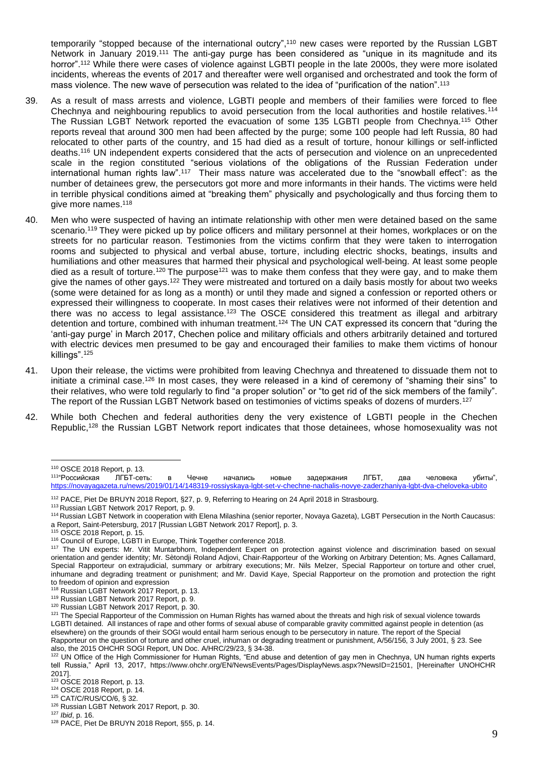temporarily "stopped because of the international outcry",<sup>110</sup> new cases were reported by the Russian LGBT Network in January 2019.<sup>111</sup> The anti-gay purge has been considered as "unique in its magnitude and its horror".<sup>112</sup> While there were cases of violence against LGBTI people in the late 2000s, they were more isolated incidents, whereas the events of 2017 and thereafter were well organised and orchestrated and took the form of mass violence. The new wave of persecution was related to the idea of "purification of the nation".<sup>113</sup>

- 39. As a result of mass arrests and violence, LGBTI people and members of their families were forced to flee Chechnya and neighbouring republics to avoid persecution from the local authorities and hostile relatives.<sup>114</sup> The Russian LGBT Network reported the evacuation of some 135 LGBTI people from Chechnya.<sup>115</sup> Other reports reveal that around 300 men had been affected by the purge; some 100 people had left Russia, 80 had relocated to other parts of the country, and 15 had died as a result of torture, honour killings or self-inflicted deaths. <sup>116</sup> UN independent experts considered that the acts of persecution and violence on an unprecedented scale in the region constituted "serious violations of the obligations of the Russian Federation under international human rights law".<sup>117</sup> Their mass nature was accelerated due to the "snowball effect": as the number of detainees grew, the persecutors got more and more informants in their hands. The victims were held in terrible physical conditions aimed at "breaking them" physically and psychologically and thus forcing them to give more names.<sup>118</sup>
- 40. Men who were suspected of having an intimate relationship with other men were detained based on the same scenario.<sup>119</sup> They were picked up by police officers and military personnel at their homes, workplaces or on the streets for no particular reason. Testimonies from the victims confirm that they were taken to interrogation rooms and subjected to physical and verbal abuse, torture, including electric shocks, beatings, insults and humiliations and other measures that harmed their physical and psychological well-being. At least some people died as a result of torture.<sup>120</sup> The purpose<sup>121</sup> was to make them confess that they were gay, and to make them give the names of other gays.<sup>122</sup> They were mistreated and tortured on a daily basis mostly for about two weeks (some were detained for as long as a month) or until they made and signed a confession or reported others or expressed their willingness to cooperate. In most cases their relatives were not informed of their detention and there was no access to legal assistance.<sup>123</sup> The OSCE considered this treatment as illegal and arbitrary detention and torture, combined with inhuman treatment.<sup>124</sup> The UN CAT expressed its concern that "during the 'anti-gay purge' in March 2017, Chechen police and military officials and others arbitrarily detained and tortured with electric devices men presumed to be gay and encouraged their families to make them victims of honour killings".<sup>125</sup>
- 41. Upon their release, the victims were prohibited from leaving Chechnya and threatened to dissuade them not to initiate a criminal case.<sup>126</sup> In most cases, they were released in a kind of ceremony of "shaming their sins" to their relatives, who were told regularly to find "a proper solution" or "to get rid of the sick members of the family". The report of the Russian LGBT Network based on testimonies of victims speaks of dozens of murders.<sup>127</sup>
- 42. While both Chechen and federal authorities deny the very existence of LGBTI people in the Chechen Republic,<sup>128</sup> the Russian LGBT Network report indicates that those detainees, whose homosexuality was not

<sup>115</sup> OSCE 2018 Report, p. 15.

<sup>&</sup>lt;sup>110</sup> OSCE 2018 Report, р. 13.<br><sup>111</sup>"Российская ЛГБТ-сеть:

<sup>111</sup>"Российская ЛГБТ-сеть: в Чечне начались новые задержания ЛГБТ, два человека убиты", <https://novayagazeta.ru/news/2019/01/14/148319-rossiyskaya-lgbt-set-v-chechne-nachalis-novye-zaderzhaniya-lgbt-dva-cheloveka-ubito>

<sup>112</sup> PACE, Piet De BRUYN 2018 Report, §27, p. 9, Referring to Hearing on 24 April 2018 in Strasbourg.

<sup>113</sup> Russian LGBT Network 2017 Report, p. 9.

<sup>114</sup> Russian LGBT Network in cooperation with Elena Milashina (senior reporter, Novaya Gazeta), LGBT Persecution in the North Caucasus: a Report, Saint-Petersburg, 2017 [Russian LGBT Network 2017 Report], p. 3.

<sup>116</sup> Council of Europe, LGBTI in Europe, Think Together conference 2018.

<sup>117</sup> The UN experts: Mr. Vitit Muntarbhorn, Independent Expert on protection against violence and discrimination based on [sexual](https://www.ohchr.org/EN/Issues/SexualOrientationGender/Pages/Index.aspx) [orientation](https://www.ohchr.org/EN/Issues/SexualOrientationGender/Pages/Index.aspx) and gender identity; Mr. Sètondji Roland Adjovi, Chair-Rapporteur of the Working on [Arbitrary Detention;](https://www.ohchr.org/EN/Issues/Detention/Pages/WGADIndex.aspx) Ms. Agnes Callamard, Special Rapporteur on [extrajudicial, summary or arbitrary executions;](https://www.ohchr.org/EN/Issues/Executions/Pages/SRExecutionsIndex.aspx) Mr. Nils Melzer, Special Rapporteur on [torture](https://www.ohchr.org/EN/Issues/Torture/SRTorture/Pages/SRTortureIndex.aspx) and other cruel, inhumane and degrading treatment or punishment; and Mr. David Kaye, Special Rapporteur on the promotion and protection the right to [freedom of opinion and expression](https://www.ohchr.org/EN/Issues/FreedomOpinion/Pages/OpinionIndex.aspx)

<sup>118</sup> Russian LGBT Network 2017 Report, p. 13.

<sup>119</sup> Russian LGBT Network 2017 Report, p. 9.

<sup>120</sup> Russian LGBT Network 2017 Report, p. 30.

<sup>&</sup>lt;sup>121</sup> The Special Rapporteur of the Commission on Human Rights has warned about the threats and high risk of sexual violence towards LGBTI detained. All instances of rape and other forms of sexual abuse of comparable gravity committed against people in detention (as elsewhere) on the grounds of their SOGI would entail harm serious enough to be persecutory in nature. The report of the Special Rapporteur on the question of torture and other cruel, inhuman or degrading treatment or punishment, A/56/156, 3 July 2001, § 23. See also, the 2015 OHCHR SOGI Report, UN Doc. A/HRC/29/23, § 34-38.

<sup>122</sup> UN Office of the High Commissioner for Human Rights, "End abuse and detention of gay men in Chechnya, UN human rights experts tell Russia," April 13, 2017, [https://www.ohchr.org/EN/NewsEvents/Pages/DisplayNews.aspx?NewsID=21501,](https://www.ohchr.org/EN/NewsEvents/Pages/DisplayNews.aspx?NewsID=21501) [Hereinafter UNOHCHR 2017].

<sup>123</sup> OSCE 2018 Report, p. 13.

<sup>124</sup> OSCE 2018 Report, p. 14.

<sup>125</sup> CAT/C/RUS/CO/6, § 32.

<sup>126</sup> Russian LGBT Network 2017 Report, p. 30.

<sup>127</sup> *Ibid*, p. 16.

<sup>128</sup> PACE, Piet De BRUYN 2018 Report, §55, p. 14.